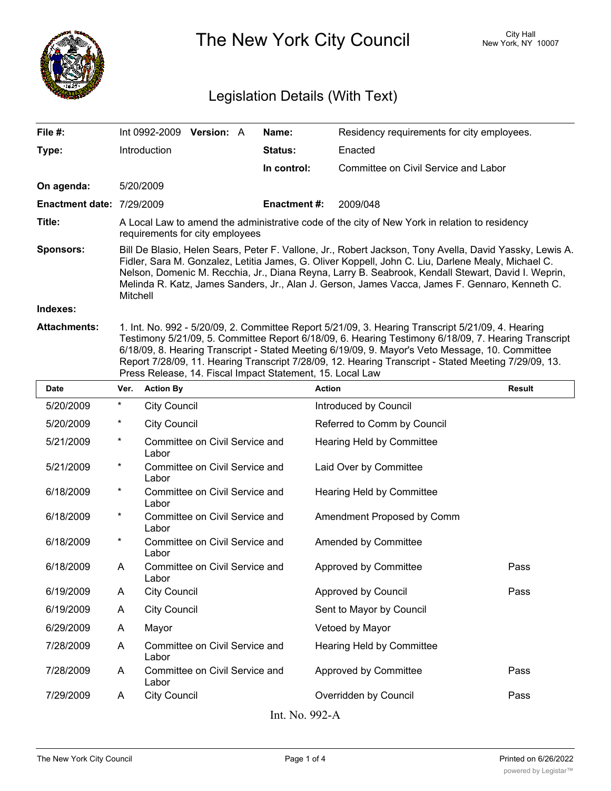

The New York City Council New York, NY 10007

## Legislation Details (With Text)

| File #:                   |                                                                                                                                                                                                                                                                                                                                                                                                                                                                                  | Int 0992-2009       | <b>Version: A</b> |  | Name:          | Residency requirements for city employees. |               |  |
|---------------------------|----------------------------------------------------------------------------------------------------------------------------------------------------------------------------------------------------------------------------------------------------------------------------------------------------------------------------------------------------------------------------------------------------------------------------------------------------------------------------------|---------------------|-------------------|--|----------------|--------------------------------------------|---------------|--|
| Type:                     |                                                                                                                                                                                                                                                                                                                                                                                                                                                                                  | <b>Introduction</b> |                   |  | <b>Status:</b> | Enacted                                    |               |  |
|                           |                                                                                                                                                                                                                                                                                                                                                                                                                                                                                  |                     |                   |  | In control:    | Committee on Civil Service and Labor       |               |  |
| On agenda:                |                                                                                                                                                                                                                                                                                                                                                                                                                                                                                  | 5/20/2009           |                   |  |                |                                            |               |  |
| Enactment date: 7/29/2009 |                                                                                                                                                                                                                                                                                                                                                                                                                                                                                  |                     |                   |  | Enactment #:   | 2009/048                                   |               |  |
| Title:                    | A Local Law to amend the administrative code of the city of New York in relation to residency<br>requirements for city employees                                                                                                                                                                                                                                                                                                                                                 |                     |                   |  |                |                                            |               |  |
| <b>Sponsors:</b>          | Bill De Blasio, Helen Sears, Peter F. Vallone, Jr., Robert Jackson, Tony Avella, David Yassky, Lewis A.<br>Fidler, Sara M. Gonzalez, Letitia James, G. Oliver Koppell, John C. Liu, Darlene Mealy, Michael C.<br>Nelson, Domenic M. Recchia, Jr., Diana Reyna, Larry B. Seabrook, Kendall Stewart, David I. Weprin,<br>Melinda R. Katz, James Sanders, Jr., Alan J. Gerson, James Vacca, James F. Gennaro, Kenneth C.<br>Mitchell                                                |                     |                   |  |                |                                            |               |  |
| Indexes:                  |                                                                                                                                                                                                                                                                                                                                                                                                                                                                                  |                     |                   |  |                |                                            |               |  |
| <b>Attachments:</b>       | 1. Int. No. 992 - 5/20/09, 2. Committee Report 5/21/09, 3. Hearing Transcript 5/21/09, 4. Hearing<br>Testimony 5/21/09, 5. Committee Report 6/18/09, 6. Hearing Testimony 6/18/09, 7. Hearing Transcript<br>6/18/09, 8. Hearing Transcript - Stated Meeting 6/19/09, 9. Mayor's Veto Message, 10. Committee<br>Report 7/28/09, 11. Hearing Transcript 7/28/09, 12. Hearing Transcript - Stated Meeting 7/29/09, 13.<br>Press Release, 14. Fiscal Impact Statement, 15. Local Law |                     |                   |  |                |                                            |               |  |
| <b>Date</b>               | Ver.                                                                                                                                                                                                                                                                                                                                                                                                                                                                             | <b>Action By</b>    |                   |  | <b>Action</b>  |                                            | <b>Result</b> |  |
| 5/20/2009                 | $\ast$                                                                                                                                                                                                                                                                                                                                                                                                                                                                           | City Council        |                   |  |                | Introduced by Council                      |               |  |

| 5/20/2009      | $^\star$ | <b>City Council</b>                     | Introduced by Council       |      |  |  |  |  |
|----------------|----------|-----------------------------------------|-----------------------------|------|--|--|--|--|
| 5/20/2009      | $^\ast$  | <b>City Council</b>                     | Referred to Comm by Council |      |  |  |  |  |
| 5/21/2009      | *        | Committee on Civil Service and<br>Labor | Hearing Held by Committee   |      |  |  |  |  |
| 5/21/2009      | *        | Committee on Civil Service and<br>Labor | Laid Over by Committee      |      |  |  |  |  |
| 6/18/2009      | $^\ast$  | Committee on Civil Service and<br>Labor | Hearing Held by Committee   |      |  |  |  |  |
| 6/18/2009      | $^\ast$  | Committee on Civil Service and<br>Labor | Amendment Proposed by Comm  |      |  |  |  |  |
| 6/18/2009      | $\star$  | Committee on Civil Service and<br>Labor | Amended by Committee        |      |  |  |  |  |
| 6/18/2009      | A        | Committee on Civil Service and<br>Labor | Approved by Committee       | Pass |  |  |  |  |
| 6/19/2009      | A        | <b>City Council</b>                     | Approved by Council         | Pass |  |  |  |  |
| 6/19/2009      | A        | <b>City Council</b>                     | Sent to Mayor by Council    |      |  |  |  |  |
| 6/29/2009      | A        | Mayor                                   | Vetoed by Mayor             |      |  |  |  |  |
| 7/28/2009      | A        | Committee on Civil Service and<br>Labor | Hearing Held by Committee   |      |  |  |  |  |
| 7/28/2009      | A        | Committee on Civil Service and<br>Labor | Approved by Committee       | Pass |  |  |  |  |
| 7/29/2009      | A        | <b>City Council</b>                     | Overridden by Council       | Pass |  |  |  |  |
| Int. No. 992-A |          |                                         |                             |      |  |  |  |  |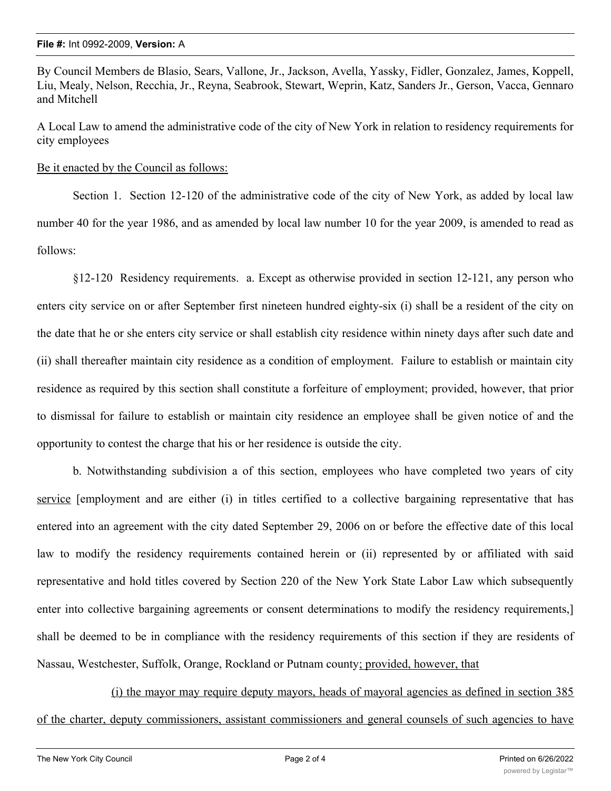By Council Members de Blasio, Sears, Vallone, Jr., Jackson, Avella, Yassky, Fidler, Gonzalez, James, Koppell, Liu, Mealy, Nelson, Recchia, Jr., Reyna, Seabrook, Stewart, Weprin, Katz, Sanders Jr., Gerson, Vacca, Gennaro and Mitchell

A Local Law to amend the administrative code of the city of New York in relation to residency requirements for city employees

Be it enacted by the Council as follows:

Section 1. Section 12-120 of the administrative code of the city of New York, as added by local law number 40 for the year 1986, and as amended by local law number 10 for the year 2009, is amended to read as follows:

§12-120 Residency requirements. a. Except as otherwise provided in section 12-121, any person who enters city service on or after September first nineteen hundred eighty-six (i) shall be a resident of the city on the date that he or she enters city service or shall establish city residence within ninety days after such date and (ii) shall thereafter maintain city residence as a condition of employment. Failure to establish or maintain city residence as required by this section shall constitute a forfeiture of employment; provided, however, that prior to dismissal for failure to establish or maintain city residence an employee shall be given notice of and the opportunity to contest the charge that his or her residence is outside the city.

b. Notwithstanding subdivision a of this section, employees who have completed two years of city service [employment and are either (i) in titles certified to a collective bargaining representative that has entered into an agreement with the city dated September 29, 2006 on or before the effective date of this local law to modify the residency requirements contained herein or (ii) represented by or affiliated with said representative and hold titles covered by Section 220 of the New York State Labor Law which subsequently enter into collective bargaining agreements or consent determinations to modify the residency requirements,] shall be deemed to be in compliance with the residency requirements of this section if they are residents of Nassau, Westchester, Suffolk, Orange, Rockland or Putnam county; provided, however, that

(i) the mayor may require deputy mayors, heads of mayoral agencies as defined in section 385 of the charter, deputy commissioners, assistant commissioners and general counsels of such agencies to have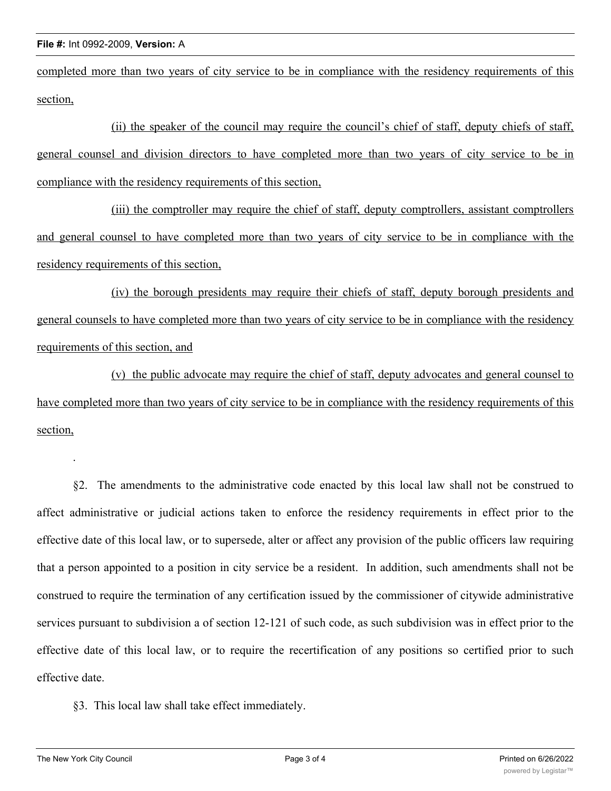completed more than two years of city service to be in compliance with the residency requirements of this section,

(ii) the speaker of the council may require the council's chief of staff, deputy chiefs of staff, general counsel and division directors to have completed more than two years of city service to be in compliance with the residency requirements of this section,

(iii) the comptroller may require the chief of staff, deputy comptrollers, assistant comptrollers and general counsel to have completed more than two years of city service to be in compliance with the residency requirements of this section,

(iv) the borough presidents may require their chiefs of staff, deputy borough presidents and general counsels to have completed more than two years of city service to be in compliance with the residency requirements of this section, and

(v) the public advocate may require the chief of staff, deputy advocates and general counsel to have completed more than two years of city service to be in compliance with the residency requirements of this section,

§2. The amendments to the administrative code enacted by this local law shall not be construed to affect administrative or judicial actions taken to enforce the residency requirements in effect prior to the effective date of this local law, or to supersede, alter or affect any provision of the public officers law requiring that a person appointed to a position in city service be a resident. In addition, such amendments shall not be construed to require the termination of any certification issued by the commissioner of citywide administrative services pursuant to subdivision a of section 12-121 of such code, as such subdivision was in effect prior to the effective date of this local law, or to require the recertification of any positions so certified prior to such effective date.

§3. This local law shall take effect immediately.

.